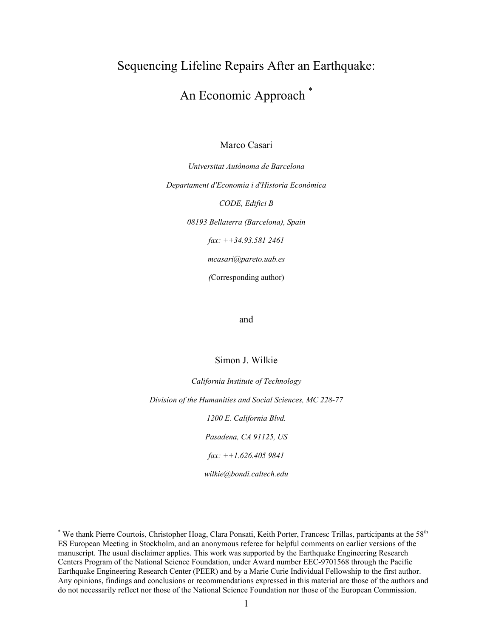## Sequencing Lifeline Repairs After an Earthquake:

# An Economic Approach [\\*](#page-0-0)

#### Marco Casari

*Universitat Autònoma de Barcelona Departament d'Economia i d'Historia Econòmica CODE, Edifici B 08193 Bellaterra (Barcelona), Spain fax: ++34.93.581 2461 mcasari@pareto.uab.es (*Corresponding author)

#### and

#### Simon J. Wilkie

#### *California Institute of Technology*

*Division of the Humanities and Social Sciences, MC 228-77* 

*1200 E. California Blvd.* 

*Pasadena, CA 91125, US*

*fax: ++1.626.405 9841*

*wilkie@bondi.caltech.edu*

<span id="page-0-0"></span><sup>\*</sup> We thank Pierre Courtois, Christopher Hoag, Clara Ponsati, Keith Porter, Francesc Trillas, participants at the  $58<sup>th</sup>$ ES European Meeting in Stockholm, and an anonymous referee for helpful comments on earlier versions of the manuscript. The usual disclaimer applies. This work was supported by the Earthquake Engineering Research Centers Program of the National Science Foundation, under Award number EEC-9701568 through the Pacific Earthquake Engineering Research Center (PEER) and by a Marie Curie Individual Fellowship to the first author. Any opinions, findings and conclusions or recommendations expressed in this material are those of the authors and do not necessarily reflect nor those of the National Science Foundation nor those of the European Commission.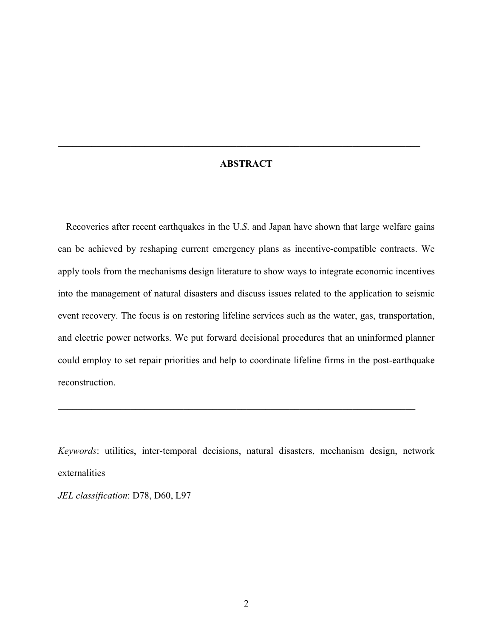#### **ABSTRACT**

Recoveries after recent earthquakes in the U.*S*. and Japan have shown that large welfare gains can be achieved by reshaping current emergency plans as incentive-compatible contracts. We apply tools from the mechanisms design literature to show ways to integrate economic incentives into the management of natural disasters and discuss issues related to the application to seismic event recovery. The focus is on restoring lifeline services such as the water, gas, transportation, and electric power networks. We put forward decisional procedures that an uninformed planner could employ to set repair priorities and help to coordinate lifeline firms in the post-earthquake reconstruction.

*Keywords*: utilities, inter-temporal decisions, natural disasters, mechanism design, network externalities

*JEL classification*: D78, D60, L97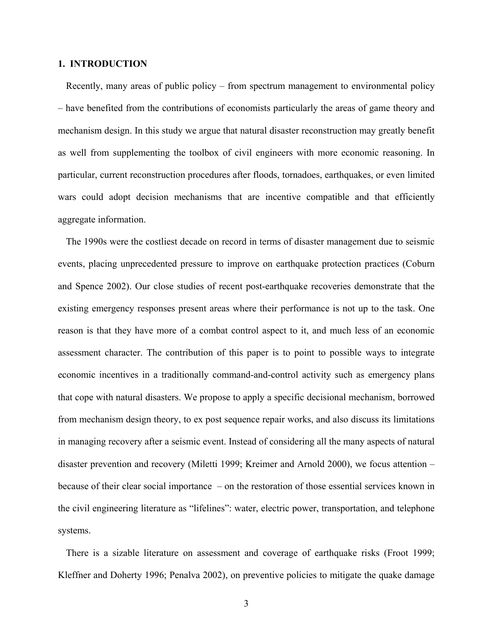#### **1. INTRODUCTION**

Recently, many areas of public policy – from spectrum management to environmental policy – have benefited from the contributions of economists particularly the areas of game theory and mechanism design. In this study we argue that natural disaster reconstruction may greatly benefit as well from supplementing the toolbox of civil engineers with more economic reasoning. In particular, current reconstruction procedures after floods, tornadoes, earthquakes, or even limited wars could adopt decision mechanisms that are incentive compatible and that efficiently aggregate information.

The 1990s were the costliest decade on record in terms of disaster management due to seismic events, placing unprecedented pressure to improve on earthquake protection practices (Coburn and Spence 2002). Our close studies of recent post-earthquake recoveries demonstrate that the existing emergency responses present areas where their performance is not up to the task. One reason is that they have more of a combat control aspect to it, and much less of an economic assessment character. The contribution of this paper is to point to possible ways to integrate economic incentives in a traditionally command-and-control activity such as emergency plans that cope with natural disasters. We propose to apply a specific decisional mechanism, borrowed from mechanism design theory, to ex post sequence repair works, and also discuss its limitations in managing recovery after a seismic event. Instead of considering all the many aspects of natural disaster prevention and recovery (Miletti 1999; Kreimer and Arnold 2000), we focus attention – because of their clear social importance – on the restoration of those essential services known in the civil engineering literature as "lifelines": water, electric power, transportation, and telephone systems.

There is a sizable literature on assessment and coverage of earthquake risks (Froot 1999; Kleffner and Doherty 1996; Penalva 2002), on preventive policies to mitigate the quake damage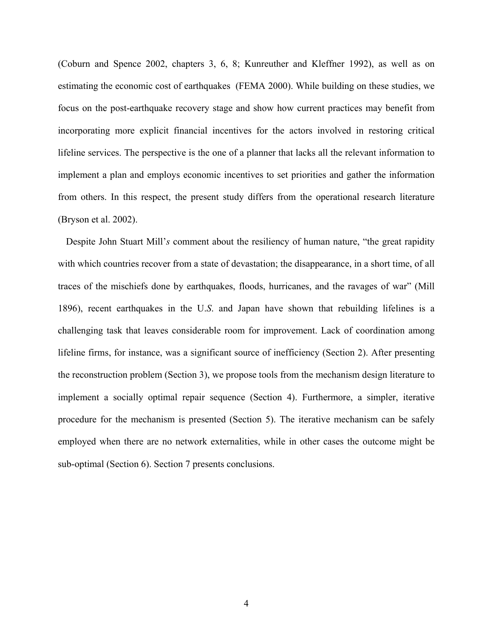(Coburn and Spence 2002, chapters 3, 6, 8; Kunreuther and Kleffner 1992), as well as on estimating the economic cost of earthquakes (FEMA 2000). While building on these studies, we focus on the post-earthquake recovery stage and show how current practices may benefit from incorporating more explicit financial incentives for the actors involved in restoring critical lifeline services. The perspective is the one of a planner that lacks all the relevant information to implement a plan and employs economic incentives to set priorities and gather the information from others. In this respect, the present study differs from the operational research literature (Bryson et al. 2002).

Despite John Stuart Mill'*s* comment about the resiliency of human nature, "the great rapidity with which countries recover from a state of devastation; the disappearance, in a short time, of all traces of the mischiefs done by earthquakes, floods, hurricanes, and the ravages of war" (Mill 1896), recent earthquakes in the U.*S*. and Japan have shown that rebuilding lifelines is a challenging task that leaves considerable room for improvement. Lack of coordination among lifeline firms, for instance, was a significant source of inefficiency (Section 2). After presenting the reconstruction problem (Section 3), we propose tools from the mechanism design literature to implement a socially optimal repair sequence (Section 4). Furthermore, a simpler, iterative procedure for the mechanism is presented (Section 5). The iterative mechanism can be safely employed when there are no network externalities, while in other cases the outcome might be sub-optimal (Section 6). Section 7 presents conclusions.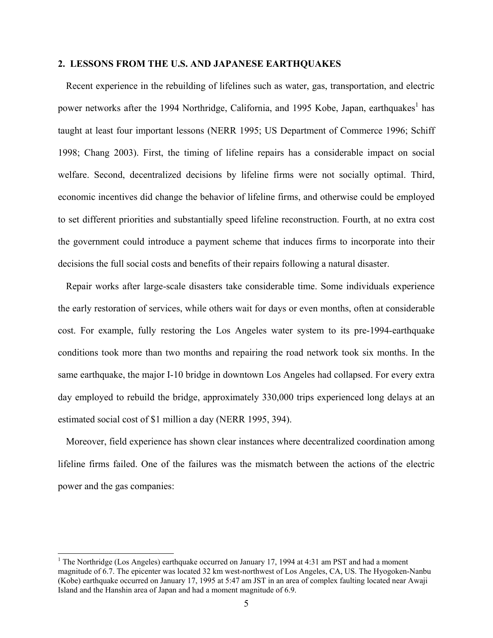### **2. LESSONS FROM THE U.S. AND JAPANESE EARTHQUAKES**

Recent experience in the rebuilding of lifelines such as water, gas, transportation, and electric power networks after the 1994 Northridge, California, and 1995 Kobe, Japan, earthquakes<sup>1</sup> has taught at least four important lessons (NERR 1995; US Department of Commerce 1996; Schiff 1998; Chang 2003). First, the timing of lifeline repairs has a considerable impact on social welfare. Second, decentralized decisions by lifeline firms were not socially optimal. Third, economic incentives did change the behavior of lifeline firms, and otherwise could be employed to set different priorities and substantially speed lifeline reconstruction. Fourth, at no extra cost the government could introduce a payment scheme that induces firms to incorporate into their decisions the full social costs and benefits of their repairs following a natural disaster.

Repair works after large-scale disasters take considerable time. Some individuals experience the early restoration of services, while others wait for days or even months, often at considerable cost. For example, fully restoring the Los Angeles water system to its pre-1994-earthquake conditions took more than two months and repairing the road network took six months. In the same earthquake, the major I-10 bridge in downtown Los Angeles had collapsed. For every extra day employed to rebuild the bridge, approximately 330,000 trips experienced long delays at an estimated social cost of \$1 million a day (NERR 1995, 394).

Moreover, field experience has shown clear instances where decentralized coordination among lifeline firms failed. One of the failures was the mismatch between the actions of the electric power and the gas companies:

<span id="page-4-0"></span><sup>&</sup>lt;sup>1</sup> The Northridge (Los Angeles) earthquake occurred on January 17, 1994 at 4:31 am PST and had a moment magnitude of 6.7. The epicenter was located 32 km west-northwest of Los Angeles, CA, US. The Hyogoken-Nanbu (Kobe) earthquake occurred on January 17, 1995 at 5:47 am JST in an area of complex faulting located near Awaji Island and the Hanshin area of Japan and had a moment magnitude of 6.9.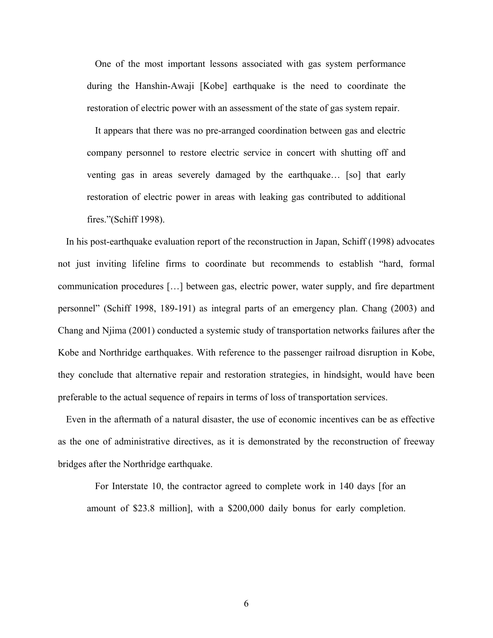One of the most important lessons associated with gas system performance during the Hanshin-Awaji [Kobe] earthquake is the need to coordinate the restoration of electric power with an assessment of the state of gas system repair.

It appears that there was no pre-arranged coordination between gas and electric company personnel to restore electric service in concert with shutting off and venting gas in areas severely damaged by the earthquake… [so] that early restoration of electric power in areas with leaking gas contributed to additional fires."(Schiff 1998).

In his post-earthquake evaluation report of the reconstruction in Japan, Schiff (1998) advocates not just inviting lifeline firms to coordinate but recommends to establish "hard, formal communication procedures […] between gas, electric power, water supply, and fire department personnel" (Schiff 1998, 189-191) as integral parts of an emergency plan. Chang (2003) and Chang and Njima (2001) conducted a systemic study of transportation networks failures after the Kobe and Northridge earthquakes. With reference to the passenger railroad disruption in Kobe, they conclude that alternative repair and restoration strategies, in hindsight, would have been preferable to the actual sequence of repairs in terms of loss of transportation services.

Even in the aftermath of a natural disaster, the use of economic incentives can be as effective as the one of administrative directives, as it is demonstrated by the reconstruction of freeway bridges after the Northridge earthquake.

For Interstate 10, the contractor agreed to complete work in 140 days [for an amount of \$23.8 million], with a \$200,000 daily bonus for early completion.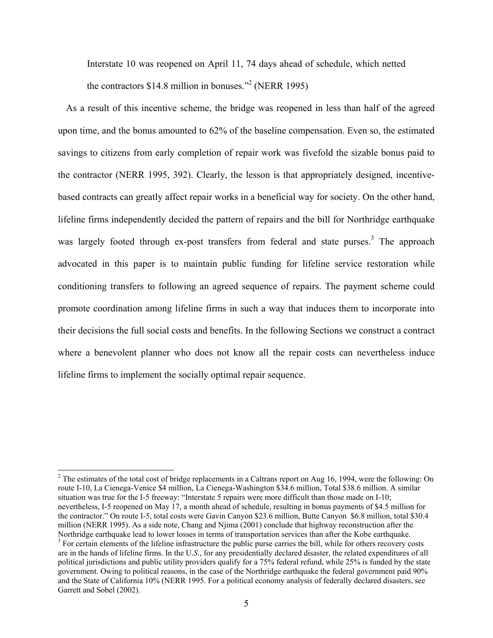Interstate 10 was reopened on April 11, 74 days ahead of schedule, which netted the contractors  $$14.8$  million in bonuses."<sup>2</sup> (NERR 1995)

As a result of this incentive scheme, the bridge was reopened in less than half of the agreed upon time, and the bonus amounted to 62% of the baseline compensation. Even so, the estimated savings to citizens from early completion of repair work was fivefold the sizable bonus paid to the contractor (NERR 1995, 392). Clearly, the lesson is that appropriately designed, incentivebased contracts can greatly affect repair works in a beneficial way for society. On the other hand, lifeline firms independently decided the pattern of repairs and the bill for Northridge earthquake was largely footed through ex-post transfers from federal and state purses.<sup>[3](#page-6-1)</sup> The approach advocated in this paper is to maintain public funding for lifeline service restoration while conditioning transfers to following an agreed sequence of repairs. The payment scheme could promote coordination among lifeline firms in such a way that induces them to incorporate into their decisions the full social costs and benefits. In the following Sections we construct a contract where a benevolent planner who does not know all the repair costs can nevertheless induce lifeline firms to implement the socially optimal repair sequence.

<span id="page-6-1"></span><span id="page-6-0"></span> $2^2$  The estimates of the total cost of bridge replacements in a Caltrans report on Aug 16, 1994, were the following: On route I-10, La Cienega-Venice \$4 million, La Cienega-Washington \$34.6 million, Total \$38.6 million. A similar situation was true for the I-5 freeway: "Interstate 5 repairs were more difficult than those made on I-10; nevertheless, I-5 reopened on May 17, a month ahead of schedule, resulting in bonus payments of \$4.5 million for the contractor." On route I-5, total costs were Gavin Canyon \$23.6 million, Butte Canyon \$6.8 million, total \$30.4 million (NERR 1995). As a side note, Chang and Njima (2001) conclude that highway reconstruction after the Northridge earthquake lead to lower losses in terms of transportation services than after the Kobe earthquake. <sup>3</sup> <sup>3</sup> For certain elements of the lifeline infrastructure the public purse carries the bill, while for others recovery costs are in the hands of lifeline firms. In the U.*S*., for any presidentially declared disaster, the related expenditures of all political jurisdictions and public utility providers qualify for a 75% federal refund, while 25% is funded by the state government. Owing to political reasons, in the case of the Northridge earthquake the federal government paid 90% and the State of California 10% (NERR 1995. For a political economy analysis of federally declared disasters, see Garrett and Sobel (2002).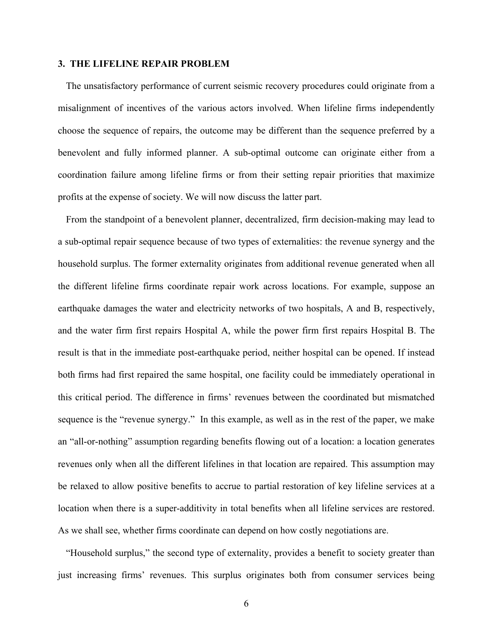#### **3. THE LIFELINE REPAIR PROBLEM**

The unsatisfactory performance of current seismic recovery procedures could originate from a misalignment of incentives of the various actors involved. When lifeline firms independently choose the sequence of repairs, the outcome may be different than the sequence preferred by a benevolent and fully informed planner. A sub-optimal outcome can originate either from a coordination failure among lifeline firms or from their setting repair priorities that maximize profits at the expense of society. We will now discuss the latter part.

From the standpoint of a benevolent planner, decentralized, firm decision-making may lead to a sub-optimal repair sequence because of two types of externalities: the revenue synergy and the household surplus. The former externality originates from additional revenue generated when all the different lifeline firms coordinate repair work across locations. For example, suppose an earthquake damages the water and electricity networks of two hospitals, A and B, respectively, and the water firm first repairs Hospital A, while the power firm first repairs Hospital B. The result is that in the immediate post-earthquake period, neither hospital can be opened. If instead both firms had first repaired the same hospital, one facility could be immediately operational in this critical period. The difference in firms' revenues between the coordinated but mismatched sequence is the "revenue synergy." In this example, as well as in the rest of the paper, we make an "all-or-nothing" assumption regarding benefits flowing out of a location: a location generates revenues only when all the different lifelines in that location are repaired. This assumption may be relaxed to allow positive benefits to accrue to partial restoration of key lifeline services at a location when there is a super-additivity in total benefits when all lifeline services are restored. As we shall see, whether firms coordinate can depend on how costly negotiations are.

"Household surplus," the second type of externality, provides a benefit to society greater than just increasing firms' revenues. This surplus originates both from consumer services being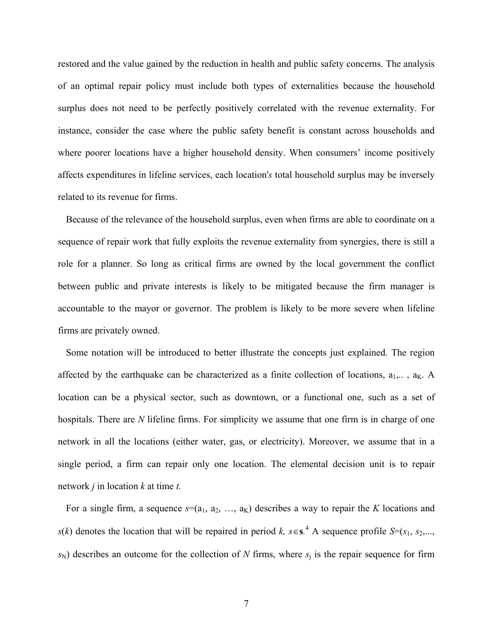restored and the value gained by the reduction in health and public safety concerns. The analysis of an optimal repair policy must include both types of externalities because the household surplus does not need to be perfectly positively correlated with the revenue externality. For instance, consider the case where the public safety benefit is constant across households and where poorer locations have a higher household density. When consumers' income positively affects expenditures in lifeline services, each location'*s* total household surplus may be inversely related to its revenue for firms.

Because of the relevance of the household surplus, even when firms are able to coordinate on a sequence of repair work that fully exploits the revenue externality from synergies, there is still a role for a planner. So long as critical firms are owned by the local government the conflict between public and private interests is likely to be mitigated because the firm manager is accountable to the mayor or governor. The problem is likely to be more severe when lifeline firms are privately owned.

Some notation will be introduced to better illustrate the concepts just explained. The region affected by the earthquake can be characterized as a finite collection of locations,  $a_1, \ldots, a_K$ . A location can be a physical sector, such as downtown, or a functional one, such as a set of hospitals. There are *N* lifeline firms. For simplicity we assume that one firm is in charge of one network in all the locations (either water, gas, or electricity). Moreover, we assume that in a single period, a firm can repair only one location. The elemental decision unit is to repair network *j* in location *k* at time *t.*

<span id="page-8-0"></span>For a single firm, a sequence  $s=(a_1, a_2, ..., a_K)$  describes a way to repair the *K* locations and *s*(*k*) denotes the location that will be repaired in period *k*,  $s \in \mathbf{s}$ <sup>[4](#page-8-0)</sup> A sequence profile  $S = (s_1, s_2,..., s_n)$  $s_N$ ) describes an outcome for the collection of *N* firms, where  $s_i$  is the repair sequence for firm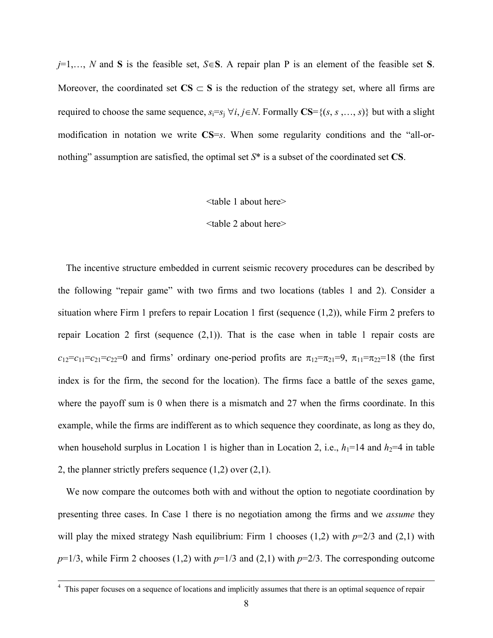*j*=1,…, *N* and **S** is the feasible set, *S*∈**S**. A repair plan P is an element of the feasible set **S**. Moreover, the coordinated set  $CS \subset S$  is the reduction of the strategy set, where all firms are required to choose the same sequence,  $s_i=s_i \forall i, j \in N$ . Formally  $CS=\{(s, s, \ldots, s)\}\$  but with a slight modification in notation we write CS=*s*. When some regularity conditions and the "all-ornothing" assumption are satisfied, the optimal set *S*\* is a subset of the coordinated set **CS**.

#### <table 1 about here>

#### <table 2 about here>

The incentive structure embedded in current seismic recovery procedures can be described by the following "repair game" with two firms and two locations (tables 1 and 2). Consider a situation where Firm 1 prefers to repair Location 1 first (sequence (1,2)), while Firm 2 prefers to repair Location 2 first (sequence  $(2,1)$ ). That is the case when in table 1 repair costs are *c*<sub>12</sub>=*c*<sub>11</sub>=*c*<sub>21</sub>=*c*<sub>22</sub>=0 and firms' ordinary one-period profits are  $\pi_{12} = \pi_{21} = 9$ ,  $\pi_{11} = \pi_{22} = 18$  (the first index is for the firm, the second for the location). The firms face a battle of the sexes game, where the payoff sum is 0 when there is a mismatch and 27 when the firms coordinate. In this example, while the firms are indifferent as to which sequence they coordinate, as long as they do, when household surplus in Location 1 is higher than in Location 2, i.e.,  $h_1=14$  and  $h_2=4$  in table 2, the planner strictly prefers sequence (1,2) over (2,1).

We now compare the outcomes both with and without the option to negotiate coordination by presenting three cases. In Case 1 there is no negotiation among the firms and we *assume* they will play the mixed strategy Nash equilibrium: Firm 1 chooses (1,2) with  $p=2/3$  and (2,1) with  $p=1/3$ , while Firm 2 chooses (1,2) with  $p=1/3$  and (2,1) with  $p=2/3$ . The corresponding outcome

 $\frac{1}{4}$ <sup>4</sup> This paper focuses on a sequence of locations and implicitly assumes that there is an optimal sequence of repair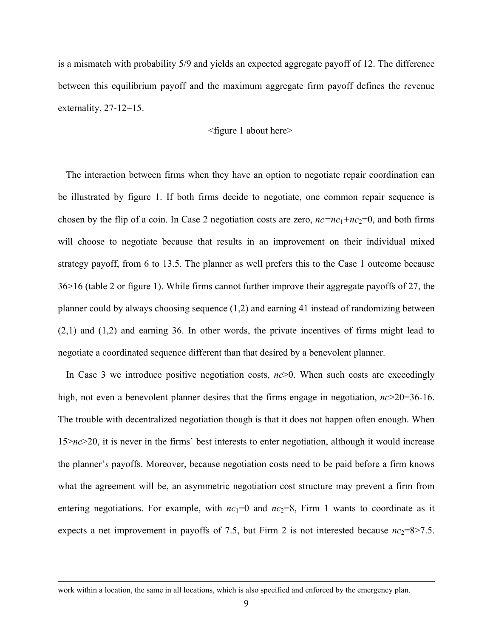is a mismatch with probability 5/9 and yields an expected aggregate payoff of 12. The difference between this equilibrium payoff and the maximum aggregate firm payoff defines the revenue externality, 27-12=15.

#### <figure 1 about here>

The interaction between firms when they have an option to negotiate repair coordination can be illustrated by figure 1. If both firms decide to negotiate, one common repair sequence is chosen by the flip of a coin. In Case 2 negotiation costs are zero,  $nc=nc_1+nc_2=0$ , and both firms will choose to negotiate because that results in an improvement on their individual mixed strategy payoff, from 6 to 13.5. The planner as well prefers this to the Case 1 outcome because 36>16 (table 2 or figure 1). While firms cannot further improve their aggregate payoffs of 27, the planner could by always choosing sequence (1,2) and earning 41 instead of randomizing between (2,1) and (1,2) and earning 36. In other words, the private incentives of firms might lead to negotiate a coordinated sequence different than that desired by a benevolent planner.

In Case 3 we introduce positive negotiation costs,  $nc>0$ . When such costs are exceedingly high, not even a benevolent planner desires that the firms engage in negotiation,  $nc > 20=36-16$ . The trouble with decentralized negotiation though is that it does not happen often enough. When 15>*nc*>20, it is never in the firms' best interests to enter negotiation, although it would increase the planner'*s* payoffs. Moreover, because negotiation costs need to be paid before a firm knows what the agreement will be, an asymmetric negotiation cost structure may prevent a firm from entering negotiations. For example, with  $nc_1=0$  and  $nc_2=8$ , Firm 1 wants to coordinate as it expects a net improvement in payoffs of 7.5, but Firm 2 is not interested because  $nc_2=8>7.5$ .

work within a location, the same in all locations, which is also specified and enforced by the emergency plan.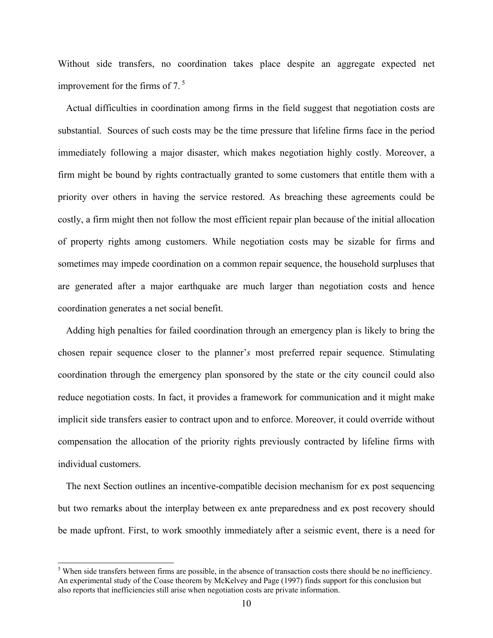Without side transfers, no coordination takes place despite an aggregate expected net improvement for the firms of  $7<sup>5</sup>$  $7<sup>5</sup>$  $7<sup>5</sup>$ 

Actual difficulties in coordination among firms in the field suggest that negotiation costs are substantial. Sources of such costs may be the time pressure that lifeline firms face in the period immediately following a major disaster, which makes negotiation highly costly. Moreover, a firm might be bound by rights contractually granted to some customers that entitle them with a priority over others in having the service restored. As breaching these agreements could be costly, a firm might then not follow the most efficient repair plan because of the initial allocation of property rights among customers. While negotiation costs may be sizable for firms and sometimes may impede coordination on a common repair sequence, the household surpluses that are generated after a major earthquake are much larger than negotiation costs and hence coordination generates a net social benefit.

Adding high penalties for failed coordination through an emergency plan is likely to bring the chosen repair sequence closer to the planner'*s* most preferred repair sequence. Stimulating coordination through the emergency plan sponsored by the state or the city council could also reduce negotiation costs. In fact, it provides a framework for communication and it might make implicit side transfers easier to contract upon and to enforce. Moreover, it could override without compensation the allocation of the priority rights previously contracted by lifeline firms with individual customers.

The next Section outlines an incentive-compatible decision mechanism for ex post sequencing but two remarks about the interplay between ex ante preparedness and ex post recovery should be made upfront. First, to work smoothly immediately after a seismic event, there is a need for

l

<span id="page-11-0"></span> $<sup>5</sup>$  When side transfers between firms are possible, in the absence of transaction costs there should be no inefficiency.</sup> An experimental study of the Coase theorem by McKelvey and Page (1997) finds support for this conclusion but also reports that inefficiencies still arise when negotiation costs are private information.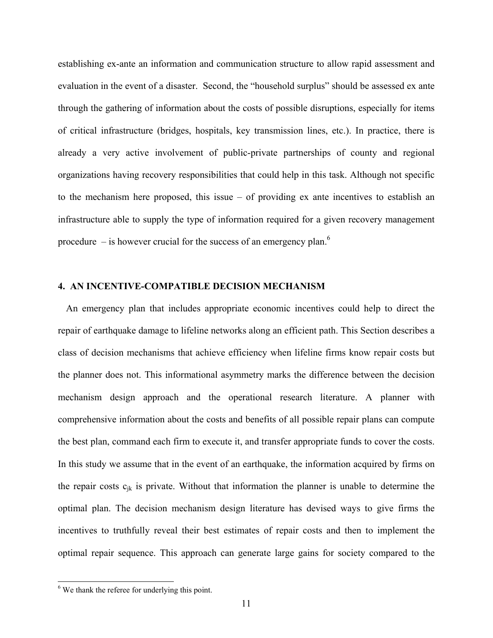establishing ex-ante an information and communication structure to allow rapid assessment and evaluation in the event of a disaster. Second, the "household surplus" should be assessed ex ante through the gathering of information about the costs of possible disruptions, especially for items of critical infrastructure (bridges, hospitals, key transmission lines, etc.). In practice, there is already a very active involvement of public-private partnerships of county and regional organizations having recovery responsibilities that could help in this task. Although not specific to the mechanism here proposed, this issue – of providing ex ante incentives to establish an infrastructure able to supply the type of information required for a given recovery management procedure  $-$  is however crucial for the success of an emergency plan.<sup>[6](#page-12-0)</sup>

#### **4. AN INCENTIVE-COMPATIBLE DECISION MECHANISM**

An emergency plan that includes appropriate economic incentives could help to direct the repair of earthquake damage to lifeline networks along an efficient path. This Section describes a class of decision mechanisms that achieve efficiency when lifeline firms know repair costs but the planner does not. This informational asymmetry marks the difference between the decision mechanism design approach and the operational research literature. A planner with comprehensive information about the costs and benefits of all possible repair plans can compute the best plan, command each firm to execute it, and transfer appropriate funds to cover the costs. In this study we assume that in the event of an earthquake, the information acquired by firms on the repair costs  $c_{ik}$  is private. Without that information the planner is unable to determine the optimal plan. The decision mechanism design literature has devised ways to give firms the incentives to truthfully reveal their best estimates of repair costs and then to implement the optimal repair sequence. This approach can generate large gains for society compared to the

<span id="page-12-0"></span> $6$  We thank the referee for underlying this point.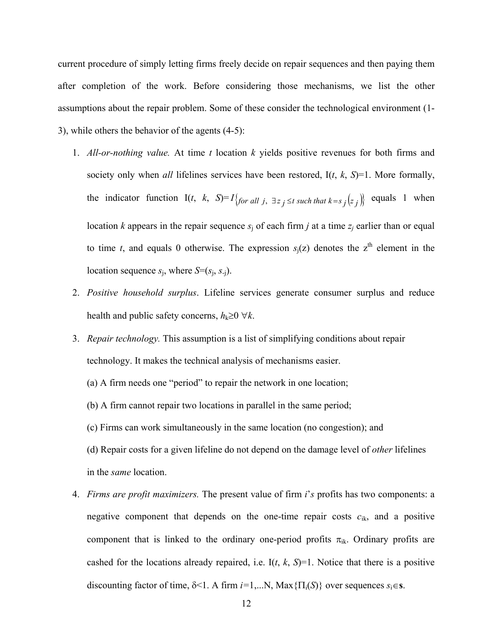current procedure of simply letting firms freely decide on repair sequences and then paying them after completion of the work. Before considering those mechanisms, we list the other assumptions about the repair problem. Some of these consider the technological environment (1- 3), while others the behavior of the agents (4-5):

- 1. *All-or-nothing value.* At time *t* location *k* yields positive revenues for both firms and society only when *all* lifelines services have been restored, I(*t*, *k*, *S*)=1. More formally, the indicator function I(*t*, *k*, *S*)=  $I\{$  *for all j*,  $\exists z_j \le t \text{ such that } k = s_j(z_j) \}$  equals 1 when location *k* appears in the repair sequence  $s_j$  of each firm *j* at a time  $z_j$  earlier than or equal to time *t*, and equals 0 otherwise. The expression  $s_i(z)$  denotes the  $z<sup>th</sup>$  element in the location sequence  $s_i$ , where  $S=(s_i, s_{-i})$ .
- 2. *Positive household surplus*. Lifeline services generate consumer surplus and reduce health and public safety concerns,  $h_k \geq 0 \ \forall k$ .
- 3. *Repair technology.* This assumption is a list of simplifying conditions about repair technology. It makes the technical analysis of mechanisms easier.
	- (a) A firm needs one "period" to repair the network in one location;
	- (b) A firm cannot repair two locations in parallel in the same period;
	- (c) Firms can work simultaneously in the same location (no congestion); and

(d) Repair costs for a given lifeline do not depend on the damage level of *other* lifelines in the *same* location.

4. *Firms are profit maximizers.* The present value of firm *i*'*s* profits has two components: a negative component that depends on the one-time repair costs *c*ik, and a positive component that is linked to the ordinary one-period profits  $\pi_{ik}$ . Ordinary profits are cashed for the locations already repaired, i.e.  $I(t, k, S)=1$ . Notice that there is a positive discounting factor of time,  $\delta$ <1. A firm  $i=1,...N$ , Max $\{\Pi_i(S)\}\$  over sequences  $s_i \in \mathbf{s}$ .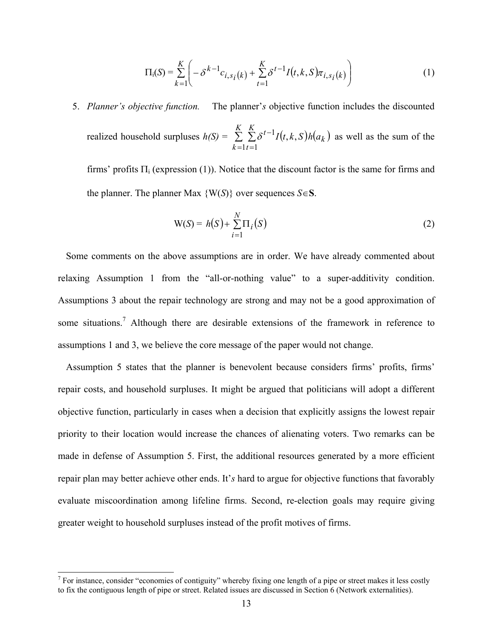$$
\Pi_i(S) = \sum_{k=1}^K \left( -\delta^{k-1} c_{i,s_i}(k) + \sum_{t=1}^K \delta^{t-1} I(t,k,S) \pi_{i,s_i}(k) \right) \tag{1}
$$

5. *Planner's objective function.* The planner'*s* objective function includes the discounted realized household surpluses  $h(S) = \sum \sum \delta^{t-1} I(t, k, S) h(a_k)$  as well as the sum of the firms' profits  $\Pi_i$  (expression (1)). Notice that the discount factor is the same for firms and  $=$   $1 t =$  $\frac{K}{\sum_{i=1}^{K} S_i t$ *k K t*  $h^{t-1}I(t,k,S)h(a_k)$  $1 t = 1$  $\delta^{t-1} I(t,k,S)h(a_k)$ the planner. The planner Max  $\{W(S)\}\$  over sequences  $S \in S$ .

$$
W(S) = h(S) + \sum_{i=1}^{N} \Pi_i(S)
$$
 (2)

Some comments on the above assumptions are in order. We have already commented about relaxing Assumption 1 from the "all-or-nothing value" to a super-additivity condition. Assumptions 3 about the repair technology are strong and may not be a good approximation of some situations.<sup>7</sup> Although there are desirable extensions of the framework in reference to assumptions 1 and 3, we believe the core message of the paper would not change.

Assumption 5 states that the planner is benevolent because considers firms' profits, firms' repair costs, and household surpluses. It might be argued that politicians will adopt a different objective function, particularly in cases when a decision that explicitly assigns the lowest repair priority to their location would increase the chances of alienating voters. Two remarks can be made in defense of Assumption 5. First, the additional resources generated by a more efficient repair plan may better achieve other ends. It'*s* hard to argue for objective functions that favorably evaluate miscoordination among lifeline firms. Second, re-election goals may require giving greater weight to household surpluses instead of the profit motives of firms.

<span id="page-14-0"></span><sup>&</sup>lt;sup>7</sup> For instance, consider "economies of contiguity" whereby fixing one length of a pipe or street makes it less costly to fix the contiguous length of pipe or street. Related issues are discussed in Section 6 (Network externalities).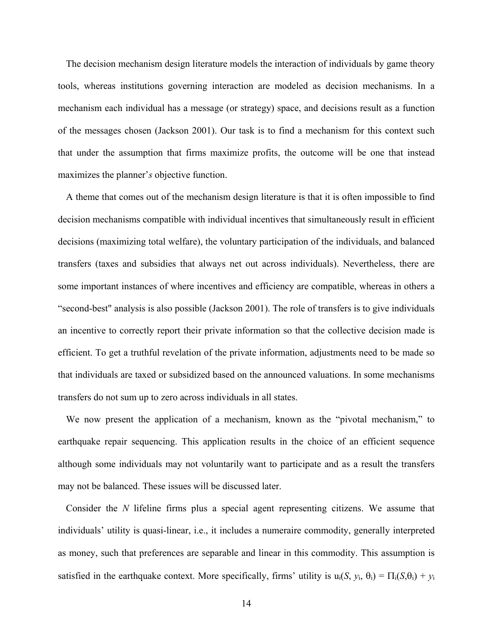The decision mechanism design literature models the interaction of individuals by game theory tools, whereas institutions governing interaction are modeled as decision mechanisms. In a mechanism each individual has a message (or strategy) space, and decisions result as a function of the messages chosen (Jackson 2001). Our task is to find a mechanism for this context such that under the assumption that firms maximize profits, the outcome will be one that instead maximizes the planner'*s* objective function.

A theme that comes out of the mechanism design literature is that it is often impossible to find decision mechanisms compatible with individual incentives that simultaneously result in efficient decisions (maximizing total welfare), the voluntary participation of the individuals, and balanced transfers (taxes and subsidies that always net out across individuals). Nevertheless, there are some important instances of where incentives and efficiency are compatible, whereas in others a "second-best" analysis is also possible (Jackson 2001). The role of transfers is to give individuals an incentive to correctly report their private information so that the collective decision made is efficient. To get a truthful revelation of the private information, adjustments need to be made so that individuals are taxed or subsidized based on the announced valuations. In some mechanisms transfers do not sum up to zero across individuals in all states.

We now present the application of a mechanism, known as the "pivotal mechanism," to earthquake repair sequencing. This application results in the choice of an efficient sequence although some individuals may not voluntarily want to participate and as a result the transfers may not be balanced. These issues will be discussed later.

Consider the *N* lifeline firms plus a special agent representing citizens. We assume that individuals' utility is quasi-linear, i.e., it includes a numeraire commodity, generally interpreted as money, such that preferences are separable and linear in this commodity. This assumption is satisfied in the earthquake context. More specifically, firms' utility is  $u_i(S, y_i, \theta_i) = \Pi_i(S, \theta_i) + y_i$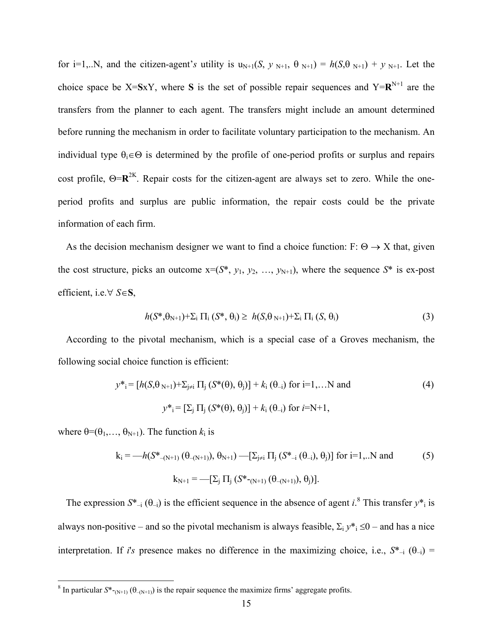for i=1,..N, and the citizen-agent's utility is  $u_{N+1}(S, y_{N+1}, \theta_{N+1}) = h(S, \theta_{N+1}) + y_{N+1}$ . Let the choice space be X=SxY, where S is the set of possible repair sequences and Y= $\mathbb{R}^{N+1}$  are the transfers from the planner to each agent. The transfers might include an amount determined before running the mechanism in order to facilitate voluntary participation to the mechanism. An individual type  $\theta_i \in \Theta$  is determined by the profile of one-period profits or surplus and repairs cost profile, Θ=**R**2K. Repair costs for the citizen-agent are always set to zero. While the oneperiod profits and surplus are public information, the repair costs could be the private information of each firm.

As the decision mechanism designer we want to find a choice function: F:  $\Theta \rightarrow X$  that, given the cost structure, picks an outcome  $x=(S^*, y_1, y_2, ..., y_{N+1})$ , where the sequence  $S^*$  is ex-post efficient, i.e.∀ *S*∈**S**,

$$
h(S^*,\theta_{N+1})+\Sigma_i \Pi_i (S^*,\theta_i) \geq h(S,\theta_{N+1})+\Sigma_i \Pi_i (S,\theta_i)
$$
\n(3)

According to the pivotal mechanism, which is a special case of a Groves mechanism, the following social choice function is efficient:

$$
y^*_{i} = [h(S, \theta_{N+1}) + \sum_{j \neq i} \Pi_j (S^*(\theta), \theta_j)] + k_i (\theta_{-i}) \text{ for } i = 1, \dots N \text{ and}
$$
  
\n
$$
y^*_{i} = [\sum_{j} \Pi_j (S^*(\theta), \theta_j)] + k_i (\theta_{-i}) \text{ for } i = N+1,
$$
\n(4)

where  $\theta = (\theta_1, \dots, \theta_{N+1})$ . The function  $k_i$  is

 $\overline{\phantom{a}}$ 

$$
k_{i} = -h(S^{*}-(N+1)}(\theta_{-(N+1)}), \theta_{N+1}) - [\Sigma_{j\neq i} \Pi_{j} (S^{*}-(\theta_{-i}), \theta_{j})] \text{ for } i=1,..N \text{ and } (5)
$$

$$
k_{N+1} = -[\Sigma_{j} \Pi_{j} (S^{*}-(N+1)}(\theta_{-(N+1)}), \theta_{j})].
$$

The expression  $S^*_{-i}(\theta_{-i})$  is the efficient sequence in the absence of agent *i*.<sup>[8](#page-16-0)</sup> This transfer  $y^*_{i}$  is always non-positive – and so the pivotal mechanism is always feasible,  $\Sigma_i y^*_{i} \leq 0$  – and has a nice interpretation. If *i*'s presence makes no difference in the maximizing choice, i.e.,  $S^*_{-i}(\theta_{-i})$  =

<span id="page-16-0"></span><sup>&</sup>lt;sup>8</sup> In particular  $S^*_{-(N+1)}(\theta_{-(N+1)})$  is the repair sequence the maximize firms' aggregate profits.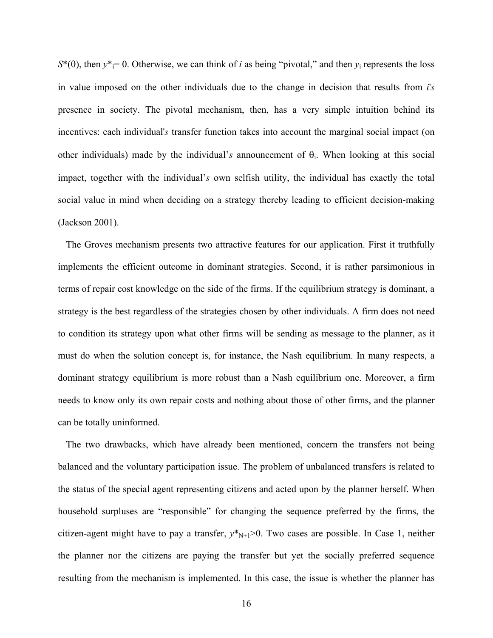$S^*(\theta)$ , then  $y^*i= 0$ . Otherwise, we can think of *i* as being "pivotal," and then  $y_i$  represents the loss in value imposed on the other individuals due to the change in decision that results from *i*'*s* presence in society. The pivotal mechanism, then, has a very simple intuition behind its incentives: each individual'*s* transfer function takes into account the marginal social impact (on other individuals) made by the individual's announcement of  $\theta_i$ . When looking at this social impact, together with the individual'*s* own selfish utility, the individual has exactly the total social value in mind when deciding on a strategy thereby leading to efficient decision-making (Jackson 2001).

The Groves mechanism presents two attractive features for our application. First it truthfully implements the efficient outcome in dominant strategies. Second, it is rather parsimonious in terms of repair cost knowledge on the side of the firms. If the equilibrium strategy is dominant, a strategy is the best regardless of the strategies chosen by other individuals. A firm does not need to condition its strategy upon what other firms will be sending as message to the planner, as it must do when the solution concept is, for instance, the Nash equilibrium. In many respects, a dominant strategy equilibrium is more robust than a Nash equilibrium one. Moreover, a firm needs to know only its own repair costs and nothing about those of other firms, and the planner can be totally uninformed.

The two drawbacks, which have already been mentioned, concern the transfers not being balanced and the voluntary participation issue. The problem of unbalanced transfers is related to the status of the special agent representing citizens and acted upon by the planner herself. When household surpluses are "responsible" for changing the sequence preferred by the firms, the citizen-agent might have to pay a transfer,  $y *_{N+1} > 0$ . Two cases are possible. In Case 1, neither the planner nor the citizens are paying the transfer but yet the socially preferred sequence resulting from the mechanism is implemented. In this case, the issue is whether the planner has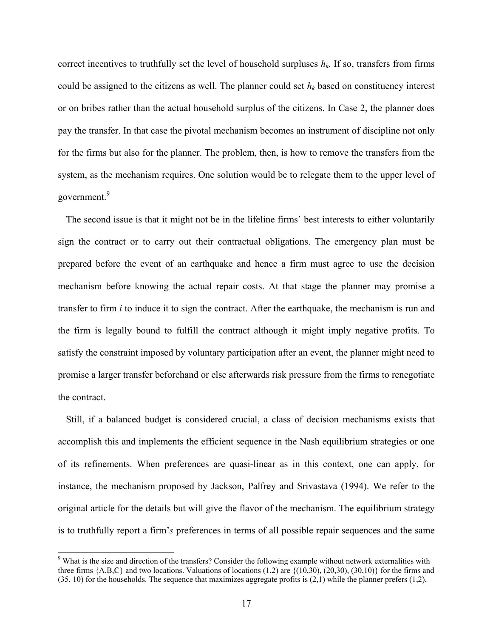<span id="page-18-0"></span>correct incentives to truthfully set the level of household surpluses  $h_k$ . If so, transfers from firms could be assigned to the citizens as well. The planner could set  $h_k$  based on constituency interest or on bribes rather than the actual household surplus of the citizens. In Case 2, the planner does pay the transfer. In that case the pivotal mechanism becomes an instrument of discipline not only for the firms but also for the planner. The problem, then, is how to remove the transfers from the system, as the mechanism requires. One solution would be to relegate them to the upper level of government.<sup>9</sup>

The second issue is that it might not be in the lifeline firms' best interests to either voluntarily sign the contract or to carry out their contractual obligations. The emergency plan must be prepared before the event of an earthquake and hence a firm must agree to use the decision mechanism before knowing the actual repair costs. At that stage the planner may promise a transfer to firm *i* to induce it to sign the contract. After the earthquake, the mechanism is run and the firm is legally bound to fulfill the contract although it might imply negative profits. To satisfy the constraint imposed by voluntary participation after an event, the planner might need to promise a larger transfer beforehand or else afterwards risk pressure from the firms to renegotiate the contract.

Still, if a balanced budget is considered crucial, a class of decision mechanisms exists that accomplish this and implements the efficient sequence in the Nash equilibrium strategies or one of its refinements. When preferences are quasi-linear as in this context, one can apply, for instance, the mechanism proposed by Jackson, Palfrey and Srivastava (1994). We refer to the original article for the details but will give the flavor of the mechanism. The equilibrium strategy is to truthfully report a firm'*s* preferences in terms of all possible repair sequences and the same

 $\overline{a}$ 

<sup>&</sup>lt;sup>9</sup> What is the size and direction of the transfers? Consider the following example without network externalities with three firms  ${A, B, C}$  and two locations. Valuations of locations (1,2) are  ${(10, 30), (20, 30), (30, 10)}$  for the firms and  $(35, 10)$  for the households. The sequence that maximizes aggregate profits is  $(2,1)$  while the planner prefers  $(1,2)$ ,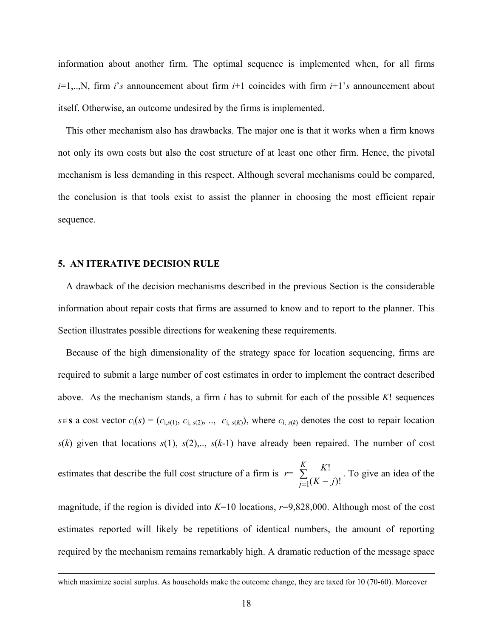information about another firm. The optimal sequence is implemented when, for all firms *i*=1,..,N, firm *i*'*s* announcement about firm *i*+1 coincides with firm *i*+1'*s* announcement about itself. Otherwise, an outcome undesired by the firms is implemented.

This other mechanism also has drawbacks. The major one is that it works when a firm knows not only its own costs but also the cost structure of at least one other firm. Hence, the pivotal mechanism is less demanding in this respect. Although several mechanisms could be compared, the conclusion is that tools exist to assist the planner in choosing the most efficient repair sequence.

#### **5. AN ITERATIVE DECISION RULE**

 $\overline{\phantom{a}}$ 

A drawback of the decision mechanisms described in the previous Section is the considerable information about repair costs that firms are assumed to know and to report to the planner. This Section illustrates possible directions for weakening these requirements.

Because of the high dimensionality of the strategy space for location sequencing, firms are required to submit a large number of cost estimates in order to implement the contract described above. As the mechanism stands, a firm *i* has to submit for each of the possible *K*! sequences *s*∈**s** a cost vector  $c_i(s) = (c_{i,s(1)}, c_{i,s(2)}, \ldots, c_{i,s(K)})$ , where  $c_{i,s(k)}$  denotes the cost to repair location  $s(k)$  given that locations  $s(1)$ ,  $s(2)$ ,..,  $s(k-1)$  have already been repaired. The number of cost

estimates that describe the full cost structure of a firm is  $r = \sum$  $\Xi_1(K -$ *K*  $\sum_{j=1}^{L} (K - j)$ *K*  $\int_1 (K - j)!$  $\frac{1}{2}$ . To give an idea of the

magnitude, if the region is divided into  $K=10$  locations,  $r=9,828,000$ . Although most of the cost estimates reported will likely be repetitions of identical numbers, the amount of reporting required by the mechanism remains remarkably high. A dramatic reduction of the message space

which maximize social surplus. As households make the outcome change, they are taxed for 10 (70-60). Moreover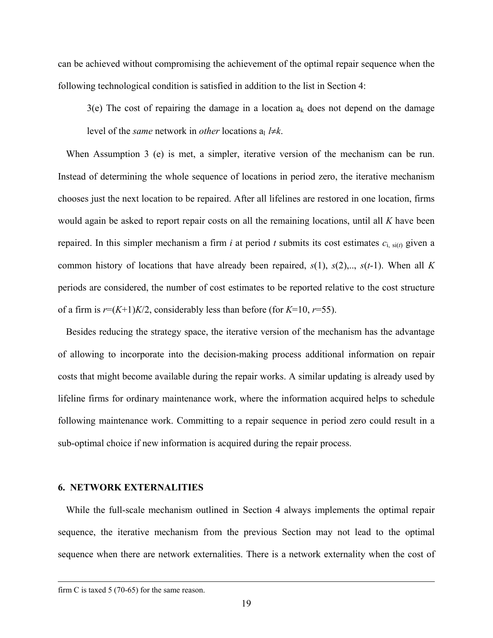can be achieved without compromising the achievement of the optimal repair sequence when the following technological condition is satisfied in addition to the list in Section 4:

 $3(e)$  The cost of repairing the damage in a location  $a_k$  does not depend on the damage level of the *same* network in *other* locations  $a_1$  *l*≠*k*.

When Assumption 3 (e) is met, a simpler, iterative version of the mechanism can be run. Instead of determining the whole sequence of locations in period zero, the iterative mechanism chooses just the next location to be repaired. After all lifelines are restored in one location, firms would again be asked to report repair costs on all the remaining locations, until all *K* have been repaired. In this simpler mechanism a firm  $i$  at period  $t$  submits its cost estimates  $c_{i, \text{si}(t)}$  given a common history of locations that have already been repaired,  $s(1)$ ,  $s(2)$ ,..,  $s(t-1)$ . When all *K* periods are considered, the number of cost estimates to be reported relative to the cost structure of a firm is  $r=(K+1)K/2$ , considerably less than before (for  $K=10$ ,  $r=55$ ).

Besides reducing the strategy space, the iterative version of the mechanism has the advantage of allowing to incorporate into the decision-making process additional information on repair costs that might become available during the repair works. A similar updating is already used by lifeline firms for ordinary maintenance work, where the information acquired helps to schedule following maintenance work. Committing to a repair sequence in period zero could result in a sub-optimal choice if new information is acquired during the repair process.

#### **6. NETWORK EXTERNALITIES**

While the full-scale mechanism outlined in Section 4 always implements the optimal repair sequence, the iterative mechanism from the previous Section may not lead to the optimal sequence when there are network externalities. There is a network externality when the cost of

firm C is taxed 5 (70-65) for the same reason.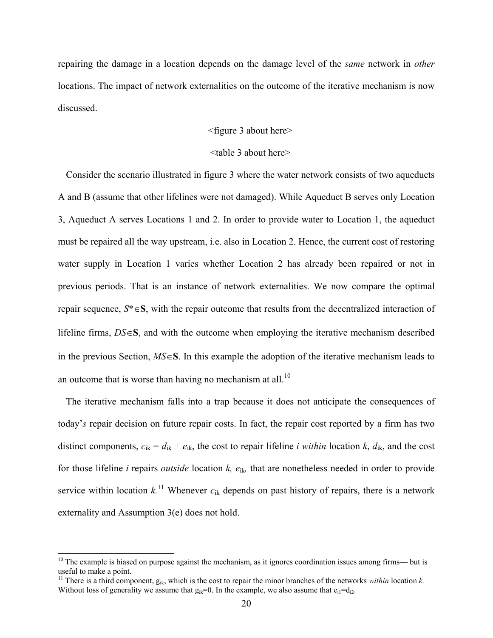repairing the damage in a location depends on the damage level of the *same* network in *other* locations. The impact of network externalities on the outcome of the iterative mechanism is now discussed.

#### <figure 3 about here>

#### <table 3 about here>

Consider the scenario illustrated in figure 3 where the water network consists of two aqueducts A and B (assume that other lifelines were not damaged). While Aqueduct B serves only Location 3, Aqueduct A serves Locations 1 and 2. In order to provide water to Location 1, the aqueduct must be repaired all the way upstream, i.e. also in Location 2. Hence, the current cost of restoring water supply in Location 1 varies whether Location 2 has already been repaired or not in previous periods. That is an instance of network externalities. We now compare the optimal repair sequence, *S*\*∈**S**, with the repair outcome that results from the decentralized interaction of lifeline firms, *DS*∈**S**, and with the outcome when employing the iterative mechanism described in the previous Section, *MS*∈**S**. In this example the adoption of the iterative mechanism leads to an outcome that is worse than having no mechanism at all.<sup>[10](#page-21-0)</sup>

The iterative mechanism falls into a trap because it does not anticipate the consequences of today'*s* repair decision on future repair costs. In fact, the repair cost reported by a firm has two distinct components,  $c_{ik} = d_{ik} + e_{ik}$ , the cost to repair lifeline *i within* location *k*,  $d_{ik}$ , and the cost for those lifeline *i* repairs *outside* location *k, e*ik*,* that are nonetheless needed in order to provide service within location  $k<sup>11</sup>$  Whenever  $c_{ik}$  depends on past history of repairs, there is a network externality and Assumption 3(e) does not hold.

<span id="page-21-0"></span> $10$  The example is biased on purpose against the mechanism, as it ignores coordination issues among firms— but is useful to make a point.

<span id="page-21-1"></span><sup>&</sup>lt;sup>11</sup> There is a third component,  $g_{ik}$ , which is the cost to repair the minor branches of the networks *within* location  $k$ . Without loss of generality we assume that  $g_{ik}=0$ . In the example, we also assume that  $e_{i1}=d_{i2}$ .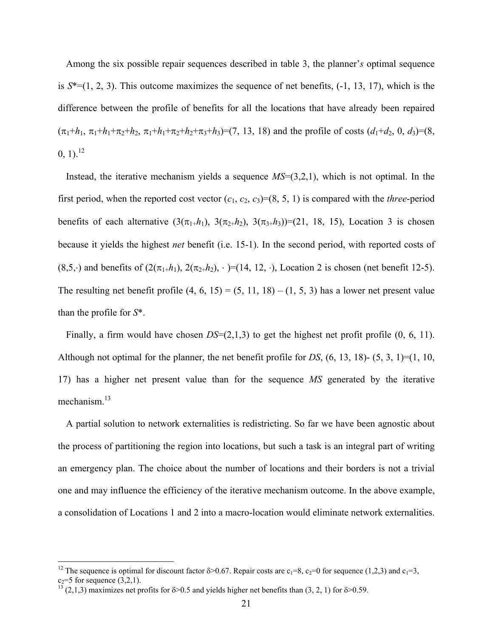Among the six possible repair sequences described in table 3, the planner'*s* optimal sequence is  $S^*=(1, 2, 3)$ . This outcome maximizes the sequence of net benefits,  $(-1, 13, 17)$ , which is the difference between the profile of benefits for all the locations that have already been repaired  $(\pi_1 + h_1, \pi_1 + h_1 + \pi_2 + h_2, \pi_1 + h_1 + \pi_2 + h_2 + \pi_3 + h_3) = (7, 13, 18)$  and the profile of costs  $(d_1 + d_2, 0, d_3) = (8, 16)$  $0, 1$ ).<sup>[12](#page-22-0)</sup>

Instead, the iterative mechanism yields a sequence *MS*=(3,2,1), which is not optimal. In the first period, when the reported cost vector  $(c_1, c_2, c_3)=(8, 5, 1)$  is compared with the *three*-period benefits of each alternative  $(3(\pi_1+h_1), 3(\pi_2+h_2), 3(\pi_3+h_3))=(21, 18, 15)$ , Location 3 is chosen because it yields the highest *net* benefit (i.e. 15-1). In the second period, with reported costs of (8,5,⋅) and benefits of  $(2(\pi_1+h_1), 2(\pi_2+h_2), \cdot) = (14, 12, \cdot)$ , Location 2 is chosen (net benefit 12-5). The resulting net benefit profile  $(4, 6, 15) = (5, 11, 18) - (1, 5, 3)$  has a lower net present value than the profile for *S*\*.

Finally, a firm would have chosen *DS*=(2,1,3) to get the highest net profit profile (0, 6, 11). Although not optimal for the planner, the net benefit profile for *DS*, (6, 13, 18)- (5, 3, 1)=(1, 10, 17) has a higher net present value than for the sequence *MS* generated by the iterative mechanism. [13](#page-22-1) 

A partial solution to network externalities is redistricting. So far we have been agnostic about the process of partitioning the region into locations, but such a task is an integral part of writing an emergency plan. The choice about the number of locations and their borders is not a trivial one and may influence the efficiency of the iterative mechanism outcome. In the above example, a consolidation of Locations 1 and 2 into a macro-location would eliminate network externalities.

l

<span id="page-22-0"></span><sup>&</sup>lt;sup>12</sup> The sequence is optimal for discount factor  $\delta > 0.67$ . Repair costs are c<sub>1</sub>=8, c<sub>2</sub>=0 for sequence (1,2,3) and c<sub>1</sub>=3, c<sub>2</sub>=5 for sequence (3,2,1). <sup>13</sup> (2,1,3) maximizes net profits for  $\delta$ >0.5 and yields higher net benefits than (3, 2, 1) for  $\delta$ >0.59.

<span id="page-22-1"></span>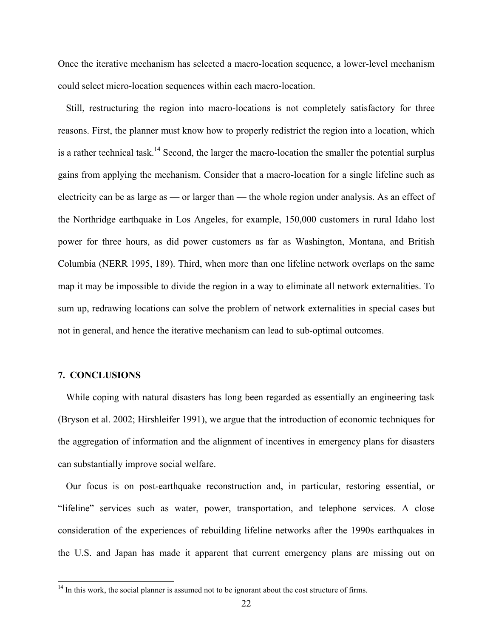Once the iterative mechanism has selected a macro-location sequence, a lower-level mechanism could select micro-location sequences within each macro-location.

Still, restructuring the region into macro-locations is not completely satisfactory for three reasons. First, the planner must know how to properly redistrict the region into a location, which is a rather technical task.<sup>14</sup> Second, the larger the macro-location the smaller the potential surplus gains from applying the mechanism. Consider that a macro-location for a single lifeline such as electricity can be as large as — or larger than — the whole region under analysis. As an effect of the Northridge earthquake in Los Angeles, for example, 150,000 customers in rural Idaho lost power for three hours, as did power customers as far as Washington, Montana, and British Columbia (NERR 1995, 189). Third, when more than one lifeline network overlaps on the same map it may be impossible to divide the region in a way to eliminate all network externalities. To sum up, redrawing locations can solve the problem of network externalities in special cases but not in general, and hence the iterative mechanism can lead to sub-optimal outcomes.

#### **7. CONCLUSIONS**

 $\overline{a}$ 

While coping with natural disasters has long been regarded as essentially an engineering task (Bryson et al. 2002; Hirshleifer 1991), we argue that the introduction of economic techniques for the aggregation of information and the alignment of incentives in emergency plans for disasters can substantially improve social welfare.

Our focus is on post-earthquake reconstruction and, in particular, restoring essential, or "lifeline" services such as water, power, transportation, and telephone services. A close consideration of the experiences of rebuilding lifeline networks after the 1990s earthquakes in the U.S. and Japan has made it apparent that current emergency plans are missing out on

<span id="page-23-0"></span> $14$  In this work, the social planner is assumed not to be ignorant about the cost structure of firms.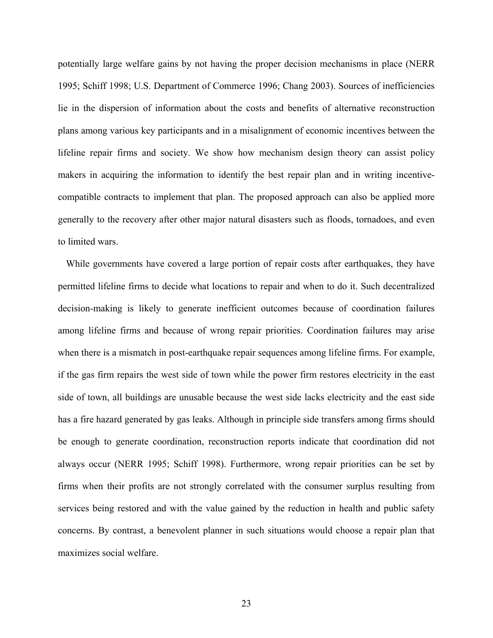potentially large welfare gains by not having the proper decision mechanisms in place (NERR 1995; Schiff 1998; U.S. Department of Commerce 1996; Chang 2003). Sources of inefficiencies lie in the dispersion of information about the costs and benefits of alternative reconstruction plans among various key participants and in a misalignment of economic incentives between the lifeline repair firms and society. We show how mechanism design theory can assist policy makers in acquiring the information to identify the best repair plan and in writing incentivecompatible contracts to implement that plan. The proposed approach can also be applied more generally to the recovery after other major natural disasters such as floods, tornadoes, and even to limited wars.

While governments have covered a large portion of repair costs after earthquakes, they have permitted lifeline firms to decide what locations to repair and when to do it. Such decentralized decision-making is likely to generate inefficient outcomes because of coordination failures among lifeline firms and because of wrong repair priorities. Coordination failures may arise when there is a mismatch in post-earthquake repair sequences among lifeline firms. For example, if the gas firm repairs the west side of town while the power firm restores electricity in the east side of town, all buildings are unusable because the west side lacks electricity and the east side has a fire hazard generated by gas leaks. Although in principle side transfers among firms should be enough to generate coordination, reconstruction reports indicate that coordination did not always occur (NERR 1995; Schiff 1998). Furthermore, wrong repair priorities can be set by firms when their profits are not strongly correlated with the consumer surplus resulting from services being restored and with the value gained by the reduction in health and public safety concerns. By contrast, a benevolent planner in such situations would choose a repair plan that maximizes social welfare.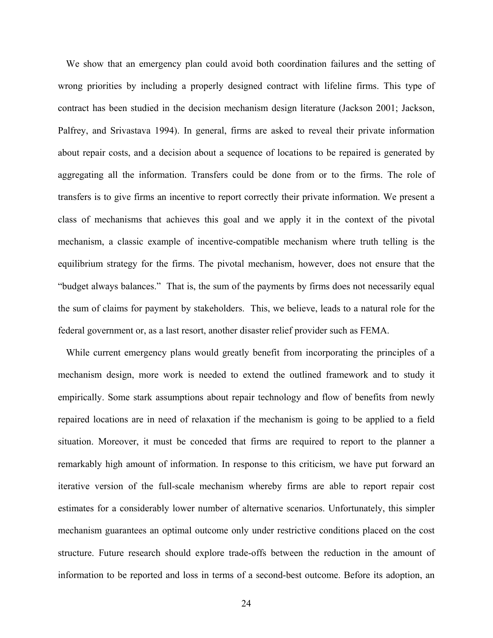We show that an emergency plan could avoid both coordination failures and the setting of wrong priorities by including a properly designed contract with lifeline firms. This type of contract has been studied in the decision mechanism design literature (Jackson 2001; Jackson, Palfrey, and Srivastava 1994). In general, firms are asked to reveal their private information about repair costs, and a decision about a sequence of locations to be repaired is generated by aggregating all the information. Transfers could be done from or to the firms. The role of transfers is to give firms an incentive to report correctly their private information. We present a class of mechanisms that achieves this goal and we apply it in the context of the pivotal mechanism, a classic example of incentive-compatible mechanism where truth telling is the equilibrium strategy for the firms. The pivotal mechanism, however, does not ensure that the "budget always balances." That is, the sum of the payments by firms does not necessarily equal the sum of claims for payment by stakeholders. This, we believe, leads to a natural role for the federal government or, as a last resort, another disaster relief provider such as FEMA.

While current emergency plans would greatly benefit from incorporating the principles of a mechanism design, more work is needed to extend the outlined framework and to study it empirically. Some stark assumptions about repair technology and flow of benefits from newly repaired locations are in need of relaxation if the mechanism is going to be applied to a field situation. Moreover, it must be conceded that firms are required to report to the planner a remarkably high amount of information. In response to this criticism, we have put forward an iterative version of the full-scale mechanism whereby firms are able to report repair cost estimates for a considerably lower number of alternative scenarios. Unfortunately, this simpler mechanism guarantees an optimal outcome only under restrictive conditions placed on the cost structure. Future research should explore trade-offs between the reduction in the amount of information to be reported and loss in terms of a second-best outcome. Before its adoption, an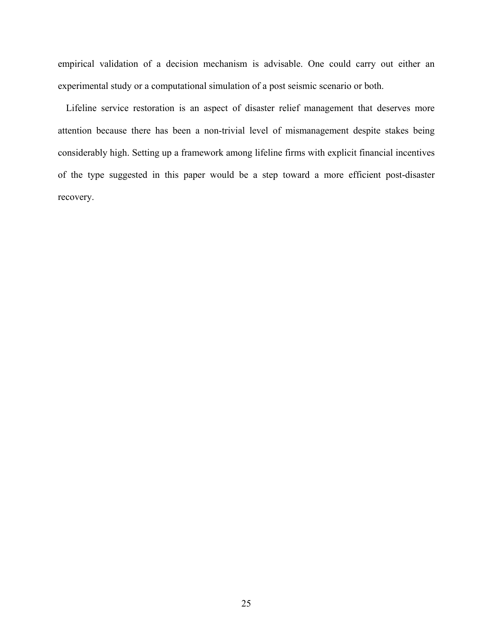empirical validation of a decision mechanism is advisable. One could carry out either an experimental study or a computational simulation of a post seismic scenario or both.

Lifeline service restoration is an aspect of disaster relief management that deserves more attention because there has been a non-trivial level of mismanagement despite stakes being considerably high. Setting up a framework among lifeline firms with explicit financial incentives of the type suggested in this paper would be a step toward a more efficient post-disaster recovery.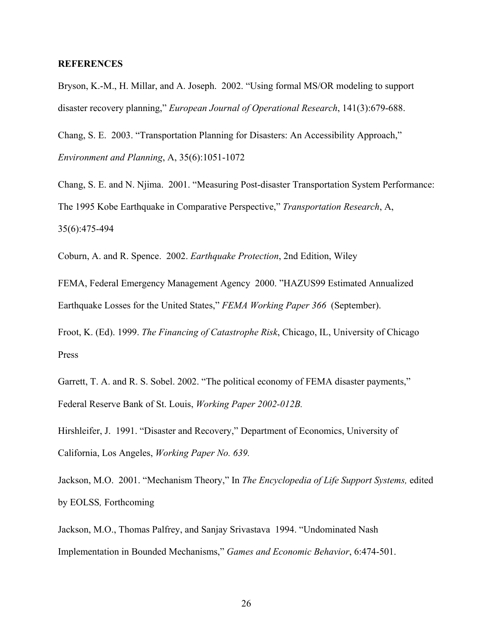#### **REFERENCES**

Bryson, K.-M., H. Millar, and A. Joseph. 2002. "Using formal MS/OR modeling to support disaster recovery planning," *European Journal of Operational Research*, 141(3):679-688.

Chang, S. E. 2003. "Transportation Planning for Disasters: An Accessibility Approach," *Environment and Planning*, A, 35(6):1051-1072

Chang, S. E. and N. Njima. 2001. "Measuring Post-disaster Transportation System Performance: The 1995 Kobe Earthquake in Comparative Perspective," *Transportation Research*, A, 35(6):475-494

Coburn, A. and R. Spence. 2002. *Earthquake Protection*, 2nd Edition, Wiley

FEMA, Federal Emergency Management Agency 2000. "HAZUS99 Estimated Annualized Earthquake Losses for the United States," *FEMA Working Paper 366* (September).

Froot, K. (Ed). 1999. *The Financing of Catastrophe Risk*, Chicago, IL, University of Chicago Press

Garrett, T. A. and R. S. Sobel. 2002. "The political economy of FEMA disaster payments," Federal Reserve Bank of St. Louis, *Working Paper 2002-012B.*

Hirshleifer, J. 1991. "Disaster and Recovery," Department of Economics, University of California, Los Angeles, *Working Paper No. 639.*

Jackson, M.O. 2001. "Mechanism Theory," In *The Encyclopedia of Life Support Systems,* edited by EOLSS*,* Forthcoming

Jackson, M.O., Thomas Palfrey, and Sanjay Srivastava 1994. "Undominated Nash Implementation in Bounded Mechanisms," *Games and Economic Behavior*, 6:474-501.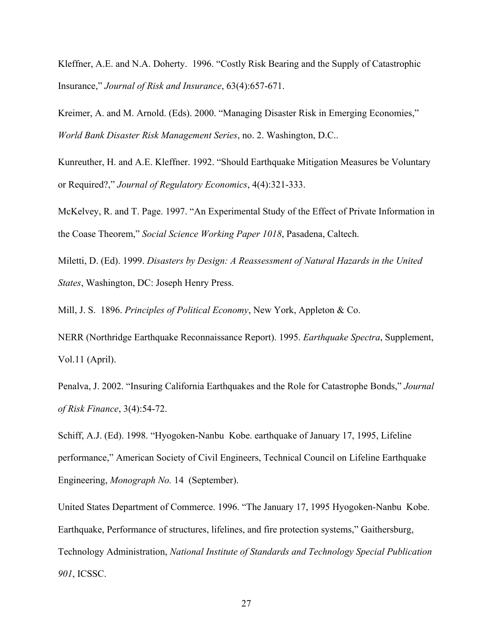Kleffner, A.E. and N.A. Doherty. 1996. "Costly Risk Bearing and the Supply of Catastrophic Insurance," *Journal of Risk and Insurance*, 63(4):657-671.

Kreimer, A. and M. Arnold. (Eds). 2000. "Managing Disaster Risk in Emerging Economies," *World Bank Disaster Risk Management Series*, no. 2. Washington, D.C..

Kunreuther, H. and A.E. Kleffner. 1992. "Should Earthquake Mitigation Measures be Voluntary or Required?," *Journal of Regulatory Economics*, 4(4):321-333.

McKelvey, R. and T. Page. 1997. "An Experimental Study of the Effect of Private Information in the Coase Theorem," *Social Science Working Paper 1018*, Pasadena, Caltech.

Miletti, D. (Ed). 1999. *Disasters by Design: A Reassessment of Natural Hazards in the United States*, Washington, DC: Joseph Henry Press.

Mill, J. S. 1896. *Principles of Political Economy*, New York, Appleton & Co.

NERR (Northridge Earthquake Reconnaissance Report). 1995. *Earthquake Spectra*, Supplement, Vol.11 (April).

Penalva, J. 2002. "Insuring California Earthquakes and the Role for Catastrophe Bonds," *Journal of Risk Finance*, 3(4):54-72.

Schiff, A.J. (Ed). 1998. "Hyogoken-Nanbu Kobe. earthquake of January 17, 1995, Lifeline performance," American Society of Civil Engineers, Technical Council on Lifeline Earthquake Engineering, *Monograph No.* 14 (September).

United States Department of Commerce. 1996. "The January 17, 1995 Hyogoken-Nanbu Kobe. Earthquake, Performance of structures, lifelines, and fire protection systems," Gaithersburg, Technology Administration, *National Institute of Standards and Technology Special Publication 901*, ICSSC.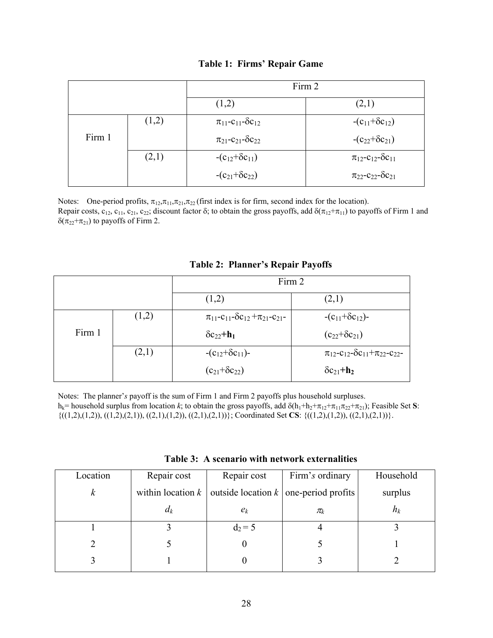|        |       | Firm 2                                                 |                                                        |  |
|--------|-------|--------------------------------------------------------|--------------------------------------------------------|--|
|        |       | (1,2)                                                  | (2,1)                                                  |  |
|        | (1,2) | $\pi_{11}$ -C <sub>11</sub> - $\delta$ C <sub>12</sub> | $-(c_{11}+\delta c_{12})$                              |  |
| Firm 1 |       | $\pi_{21}$ -C <sub>21</sub> - $\delta$ C <sub>22</sub> | $-(c_{22}+\delta c_{21})$                              |  |
|        | (2,1) | $-(c_{12}+\delta c_{11})$                              | $\pi_{12}$ -C <sub>12</sub> - $\delta$ C <sub>11</sub> |  |
|        |       | $-(c_{21}+\delta c_{22})$                              | $\pi_{22}$ -C <sub>22</sub> - $\delta$ C <sub>21</sub> |  |

## **Table 1: Firms' Repair Game**

Notes: One-period profits,  $\pi_{12}, \pi_{11}, \pi_{21}, \pi_{22}$  (first index is for firm, second index for the location). Repair costs, c<sub>12</sub>, c<sub>11</sub>, c<sub>21</sub>, c<sub>22</sub>; discount factor δ; to obtain the gross payoffs, add  $\delta(\pi_{12}+\pi_{11})$  to payoffs of Firm 1 and δ( $\pi_{22}+\pi_{21}$ ) to payoffs of Firm 2.

|        |       | Firm 2                                                                                 |                                                                                        |  |
|--------|-------|----------------------------------------------------------------------------------------|----------------------------------------------------------------------------------------|--|
|        |       | (1,2)                                                                                  | (2,1)                                                                                  |  |
|        | (1,2) | $\pi_{11}$ -C <sub>11</sub> - $\delta$ C <sub>12</sub> + $\pi_{21}$ -C <sub>21</sub> - | $-(c_{11}+\delta c_{12})$ -                                                            |  |
| Firm 1 |       | $\delta c_{22}$ +h <sub>1</sub>                                                        | $(c_{22}+\delta c_{21})$                                                               |  |
|        | (2,1) | $-(c_{12}+\delta c_{11})$                                                              | $\pi_{12}$ -C <sub>12</sub> - $\delta$ C <sub>11</sub> + $\pi_{22}$ -C <sub>22</sub> - |  |
|        |       | $(c_{21}+\delta c_{22})$                                                               | $\delta c_{21}$ +h <sub>2</sub>                                                        |  |

## **Table 2: Planner's Repair Payoffs**

Notes: The planner'*s* payoff is the sum of Firm 1 and Firm 2 payoffs plus household surpluses. h<sub>k</sub>= household surplus from location *k*; to obtain the gross payoffs, add  $\delta(h_1+h_2+\pi_{12}+\pi_{11}\pi_{22}+\pi_{21})$ ; Feasible Set **S**:  ${((1,2),(1,2)), ((1,2),(2,1)), ((2,1),(1,2)), ((2,1),(2,1))};$  Coordinated Set **CS**:  ${((1,2),(1,2)), ((2,1),(2,1))}.$ 

| Location | Repair cost         | Repair cost | Firm's ordinary                              | Household |
|----------|---------------------|-------------|----------------------------------------------|-----------|
| k        | within location $k$ |             | outside location $k \mid$ one-period profits | surplus   |
|          | $d_k$               | $e_k$       | $\pi_k$                                      | $h_k$     |
|          |                     | $d_2 = 5$   |                                              |           |
|          |                     |             |                                              |           |
|          |                     |             |                                              |           |

**Table 3: A scenario with network externalities**